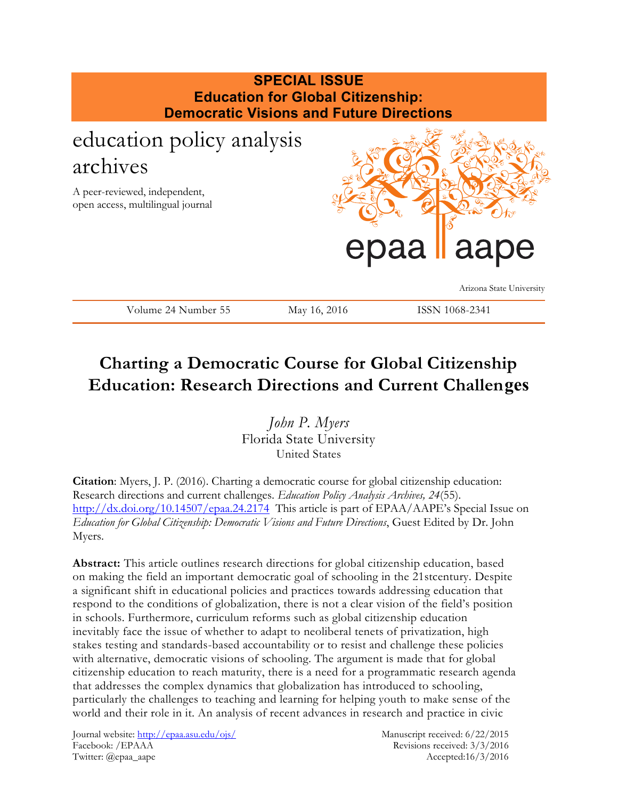

# **Charting a Democratic Course for Global Citizenship Education: Research Directions and Current Challenges**

*John P. Myers* Florida State University United States

**Citation**: Myers, J. P. (2016). Charting a democratic course for global citizenship education: Research directions and current challenges. *Education Policy Analysis Archives, 24*(55). <http://dx.doi.org/10.14507/epaa.24.2174> This article is part of EPAA/AAPE's Special Issue on *Education for Global Citizenship: Democratic Visions and Future Directions*, Guest Edited by Dr. John Myers.

**Abstract:** This article outlines research directions for global citizenship education, based on making the field an important democratic goal of schooling in the 21stcentury. Despite a significant shift in educational policies and practices towards addressing education that respond to the conditions of globalization, there is not a clear vision of the field's position in schools. Furthermore, curriculum reforms such as global citizenship education inevitably face the issue of whether to adapt to neoliberal tenets of privatization, high stakes testing and standards-based accountability or to resist and challenge these policies with alternative, democratic visions of schooling. The argument is made that for global citizenship education to reach maturity, there is a need for a programmatic research agenda that addresses the complex dynamics that globalization has introduced to schooling, particularly the challenges to teaching and learning for helping youth to make sense of the world and their role in it. An analysis of recent advances in research and practice in civic

Journal website:<http://epaa.asu.edu/ojs/> Manuscript received: 6/22/2015 Facebook: /EPAAA Revisions received: 3/3/2016 Twitter: @epaa\_aape Accepted:16/3/2016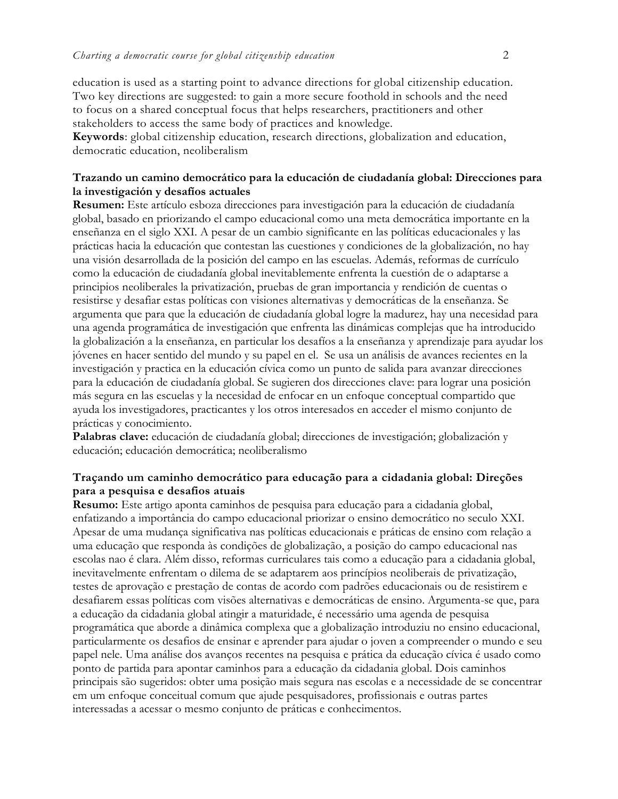education is used as a starting point to advance directions for global citizenship education. Two key directions are suggested: to gain a more secure foothold in schools and the need to focus on a shared conceptual focus that helps researchers, practitioners and other stakeholders to access the same body of practices and knowledge.

**Keywords**: global citizenship education, research directions, globalization and education, democratic education, neoliberalism

### **Trazando un camino democrático para la educación de ciudadanía global: Direcciones para la investigación y desafíos actuales**

**Resumen:** Este artículo esboza direcciones para investigación para la educación de ciudadanía global, basado en priorizando el campo educacional como una meta democrática importante en la enseñanza en el siglo XXI. A pesar de un cambio significante en las políticas educacionales y las prácticas hacia la educación que contestan las cuestiones y condiciones de la globalización, no hay una visión desarrollada de la posición del campo en las escuelas. Además, reformas de currículo como la educación de ciudadanía global inevitablemente enfrenta la cuestión de o adaptarse a principios neoliberales la privatización, pruebas de gran importancia y rendición de cuentas o resistirse y desafiar estas políticas con visiones alternativas y democráticas de la enseñanza. Se argumenta que para que la educación de ciudadanía global logre la madurez, hay una necesidad para una agenda programática de investigación que enfrenta las dinámicas complejas que ha introducido la globalización a la enseñanza, en particular los desafíos a la enseñanza y aprendizaje para ayudar los jóvenes en hacer sentido del mundo y su papel en el. Se usa un análisis de avances recientes en la investigación y practica en la educación cívica como un punto de salida para avanzar direcciones para la educación de ciudadanía global. Se sugieren dos direcciones clave: para lograr una posición más segura en las escuelas y la necesidad de enfocar en un enfoque conceptual compartido que ayuda los investigadores, practicantes y los otros interesados en acceder el mismo conjunto de prácticas y conocimiento.

**Palabras clave:** educación de ciudadanía global; direcciones de investigación; globalización y educación; educación democrática; neoliberalismo

## **Traçando um caminho democrático para educação para a cidadania global: Direções para a pesquisa e desafios atuais**

**Resumo:** Este artigo aponta caminhos de pesquisa para educação para a cidadania global, enfatizando a importância do campo educacional priorizar o ensino democrático no seculo XXI. Apesar de uma mudança significativa nas políticas educacionais e práticas de ensino com relação a uma educação que responda às condições de globalização, a posição do campo educacional nas escolas nao é clara. Além disso, reformas curriculares tais como a educação para a cidadania global, inevitavelmente enfrentam o dilema de se adaptarem aos princípios neoliberais de privatização, testes de aprovação e prestação de contas de acordo com padrões educacionais ou de resistirem e desafiarem essas políticas com visões alternativas e democráticas de ensino. Argumenta-se que, para a educação da cidadania global atingir a maturidade, é necessário uma agenda de pesquisa programática que aborde a dinâmica complexa que a globalização introduziu no ensino educacional, particularmente os desafios de ensinar e aprender para ajudar o joven a compreender o mundo e seu papel nele. Uma análise dos avanços recentes na pesquisa e prática da educação cívica é usado como ponto de partida para apontar caminhos para a educação da cidadania global. Dois caminhos principais são sugeridos: obter uma posição mais segura nas escolas e a necessidade de se concentrar em um enfoque conceitual comum que ajude pesquisadores, profissionais e outras partes interessadas a acessar o mesmo conjunto de práticas e conhecimentos.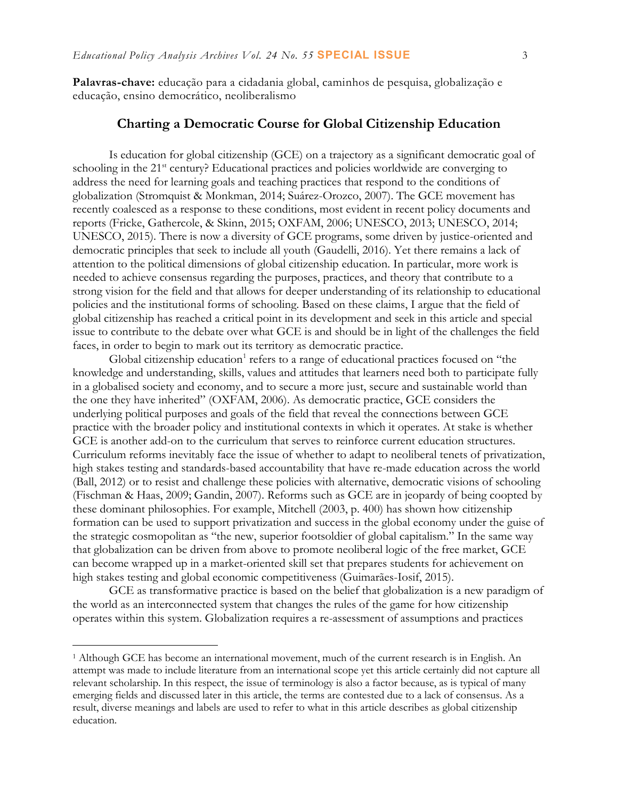**Palavras-chave:** educação para a cidadania global, caminhos de pesquisa, globalização e educação, ensino democrático, neoliberalismo

## **Charting a Democratic Course for Global Citizenship Education**

Is education for global citizenship (GCE) on a trajectory as a significant democratic goal of schooling in the 21<sup>st</sup> century? Educational practices and policies worldwide are converging to address the need for learning goals and teaching practices that respond to the conditions of globalization (Stromquist & Monkman, 2014; Suárez-Orozco, 2007). The GCE movement has recently coalesced as a response to these conditions, most evident in recent policy documents and reports (Fricke, Gathercole, & Skinn, 2015; OXFAM, 2006; UNESCO, 2013; UNESCO, 2014; UNESCO, 2015). There is now a diversity of GCE programs, some driven by justice-oriented and democratic principles that seek to include all youth (Gaudelli, 2016). Yet there remains a lack of attention to the political dimensions of global citizenship education. In particular, more work is needed to achieve consensus regarding the purposes, practices, and theory that contribute to a strong vision for the field and that allows for deeper understanding of its relationship to educational policies and the institutional forms of schooling. Based on these claims, I argue that the field of global citizenship has reached a critical point in its development and seek in this article and special issue to contribute to the debate over what GCE is and should be in light of the challenges the field faces, in order to begin to mark out its territory as democratic practice.

Global citizenship education<sup>1</sup> refers to a range of educational practices focused on "the knowledge and understanding, skills, values and attitudes that learners need both to participate fully in a globalised society and economy, and to secure a more just, secure and sustainable world than the one they have inherited" (OXFAM, 2006). As democratic practice, GCE considers the underlying political purposes and goals of the field that reveal the connections between GCE practice with the broader policy and institutional contexts in which it operates. At stake is whether GCE is another add-on to the curriculum that serves to reinforce current education structures. Curriculum reforms inevitably face the issue of whether to adapt to neoliberal tenets of privatization, high stakes testing and standards-based accountability that have re-made education across the world (Ball, 2012) or to resist and challenge these policies with alternative, democratic visions of schooling (Fischman & Haas, 2009; Gandin, 2007). Reforms such as GCE are in jeopardy of being coopted by these dominant philosophies. For example, Mitchell (2003, p. 400) has shown how citizenship formation can be used to support privatization and success in the global economy under the guise of the strategic cosmopolitan as "the new, superior footsoldier of global capitalism." In the same way that globalization can be driven from above to promote neoliberal logic of the free market, GCE can become wrapped up in a market-oriented skill set that prepares students for achievement on high stakes testing and global economic competitiveness (Guimarães-Iosif, 2015).

GCE as transformative practice is based on the belief that globalization is a new paradigm of the world as an interconnected system that changes the rules of the game for how citizenship operates within this system. Globalization requires a re-assessment of assumptions and practices

 $\overline{a}$ 

<sup>1</sup> Although GCE has become an international movement, much of the current research is in English. An attempt was made to include literature from an international scope yet this article certainly did not capture all relevant scholarship. In this respect, the issue of terminology is also a factor because, as is typical of many emerging fields and discussed later in this article, the terms are contested due to a lack of consensus. As a result, diverse meanings and labels are used to refer to what in this article describes as global citizenship education.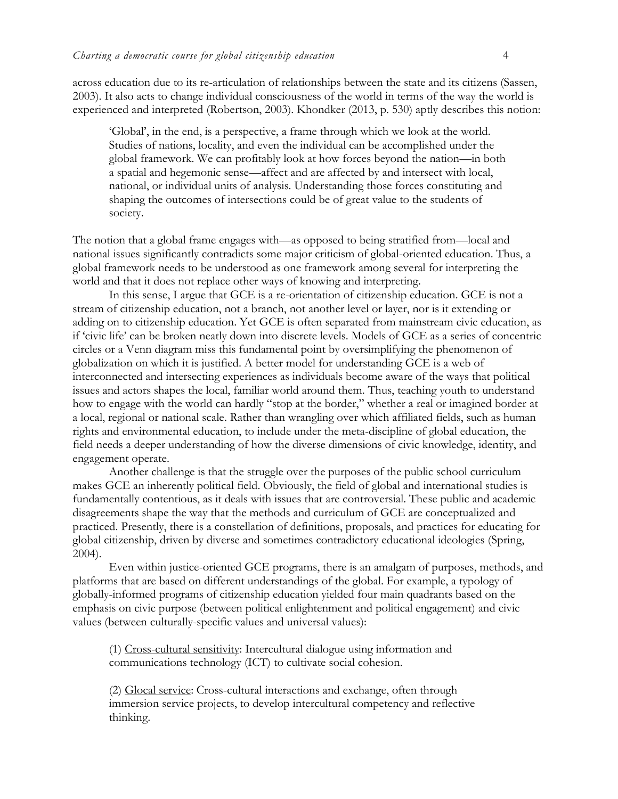across education due to its re-articulation of relationships between the state and its citizens (Sassen, 2003). It also acts to change individual consciousness of the world in terms of the way the world is experienced and interpreted (Robertson, 2003). Khondker (2013, p. 530) aptly describes this notion:

'Global', in the end, is a perspective, a frame through which we look at the world. Studies of nations, locality, and even the individual can be accomplished under the global framework. We can profitably look at how forces beyond the nation—in both a spatial and hegemonic sense—affect and are affected by and intersect with local, national, or individual units of analysis. Understanding those forces constituting and shaping the outcomes of intersections could be of great value to the students of society.

The notion that a global frame engages with—as opposed to being stratified from—local and national issues significantly contradicts some major criticism of global-oriented education. Thus, a global framework needs to be understood as one framework among several for interpreting the world and that it does not replace other ways of knowing and interpreting.

In this sense, I argue that GCE is a re-orientation of citizenship education. GCE is not a stream of citizenship education, not a branch, not another level or layer, nor is it extending or adding on to citizenship education. Yet GCE is often separated from mainstream civic education, as if 'civic life' can be broken neatly down into discrete levels. Models of GCE as a series of concentric circles or a Venn diagram miss this fundamental point by oversimplifying the phenomenon of globalization on which it is justified. A better model for understanding GCE is a web of interconnected and intersecting experiences as individuals become aware of the ways that political issues and actors shapes the local, familiar world around them. Thus, teaching youth to understand how to engage with the world can hardly "stop at the border," whether a real or imagined border at a local, regional or national scale. Rather than wrangling over which affiliated fields, such as human rights and environmental education, to include under the meta-discipline of global education, the field needs a deeper understanding of how the diverse dimensions of civic knowledge, identity, and engagement operate.

Another challenge is that the struggle over the purposes of the public school curriculum makes GCE an inherently political field. Obviously, the field of global and international studies is fundamentally contentious, as it deals with issues that are controversial. These public and academic disagreements shape the way that the methods and curriculum of GCE are conceptualized and practiced. Presently, there is a constellation of definitions, proposals, and practices for educating for global citizenship, driven by diverse and sometimes contradictory educational ideologies (Spring, 2004).

Even within justice-oriented GCE programs, there is an amalgam of purposes, methods, and platforms that are based on different understandings of the global. For example, a typology of globally-informed programs of citizenship education yielded four main quadrants based on the emphasis on civic purpose (between political enlightenment and political engagement) and civic values (between culturally-specific values and universal values):

(1) Cross-cultural sensitivity: Intercultural dialogue using information and communications technology (ICT) to cultivate social cohesion.

(2) Glocal service: Cross-cultural interactions and exchange, often through immersion service projects, to develop intercultural competency and reflective thinking.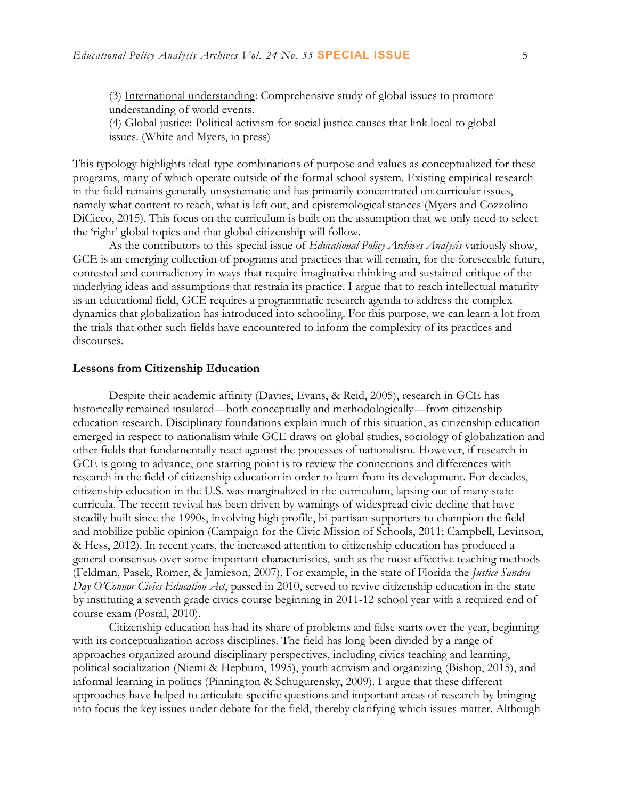(3) International understanding: Comprehensive study of global issues to promote understanding of world events.

(4) Global justice: Political activism for social justice causes that link local to global issues. (White and Myers, in press)

This typology highlights ideal-type combinations of purpose and values as conceptualized for these programs, many of which operate outside of the formal school system. Existing empirical research in the field remains generally unsystematic and has primarily concentrated on curricular issues, namely what content to teach, what is left out, and epistemological stances (Myers and Cozzolino DiCicco, 2015). This focus on the curriculum is built on the assumption that we only need to select the 'right' global topics and that global citizenship will follow.

As the contributors to this special issue of *Educational Policy Archives Analysis* variously show, GCE is an emerging collection of programs and practices that will remain, for the foreseeable future, contested and contradictory in ways that require imaginative thinking and sustained critique of the underlying ideas and assumptions that restrain its practice. I argue that to reach intellectual maturity as an educational field, GCE requires a programmatic research agenda to address the complex dynamics that globalization has introduced into schooling. For this purpose, we can learn a lot from the trials that other such fields have encountered to inform the complexity of its practices and discourses.

#### **Lessons from Citizenship Education**

Despite their academic affinity (Davies, Evans, & Reid, 2005), research in GCE has historically remained insulated—both conceptually and methodologically—from citizenship education research. Disciplinary foundations explain much of this situation, as citizenship education emerged in respect to nationalism while GCE draws on global studies, sociology of globalization and other fields that fundamentally react against the processes of nationalism. However, if research in GCE is going to advance, one starting point is to review the connections and differences with research in the field of citizenship education in order to learn from its development. For decades, citizenship education in the U.S. was marginalized in the curriculum, lapsing out of many state curricula. The recent revival has been driven by warnings of widespread civic decline that have steadily built since the 1990s, involving high profile, bi-partisan supporters to champion the field and mobilize public opinion (Campaign for the Civic Mission of Schools, 2011; Campbell, Levinson, & Hess, 2012). In recent years, the increased attention to citizenship education has produced a general consensus over some important characteristics, such as the most effective teaching methods (Feldman, Pasek, Romer, & Jamieson, 2007), For example, in the state of Florida the *Justice Sandra Day O'Connor Civics Education Act*, passed in 2010, served to revive citizenship education in the state by instituting a seventh grade civics course beginning in 2011-12 school year with a required end of course exam (Postal, 2010).

Citizenship education has had its share of problems and false starts over the year, beginning with its conceptualization across disciplines. The field has long been divided by a range of approaches organized around disciplinary perspectives, including civics teaching and learning, political socialization (Niemi & Hepburn, 1995), youth activism and organizing (Bishop, 2015), and informal learning in politics (Pinnington & Schugurensky, 2009). I argue that these different approaches have helped to articulate specific questions and important areas of research by bringing into focus the key issues under debate for the field, thereby clarifying which issues matter. Although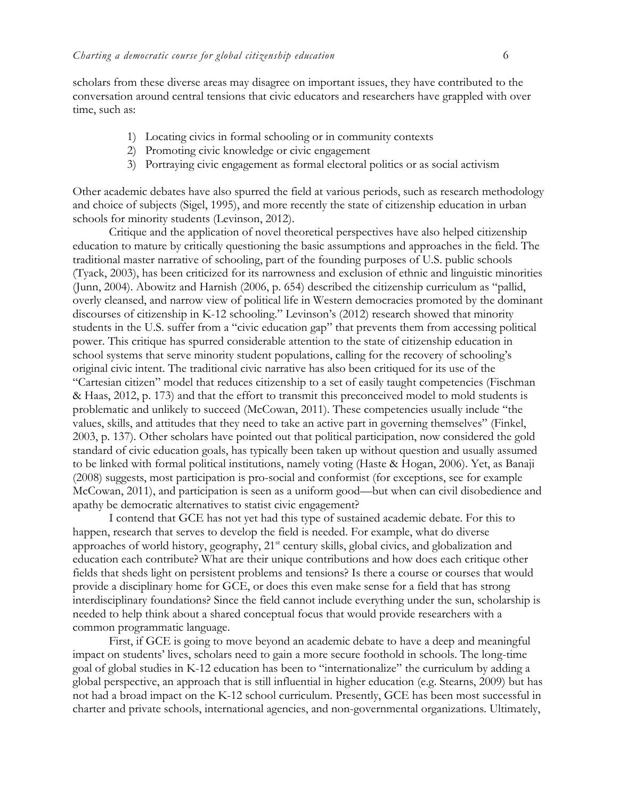scholars from these diverse areas may disagree on important issues, they have contributed to the conversation around central tensions that civic educators and researchers have grappled with over time, such as:

- 1) Locating civics in formal schooling or in community contexts
- 2) Promoting civic knowledge or civic engagement
- 3) Portraying civic engagement as formal electoral politics or as social activism

Other academic debates have also spurred the field at various periods, such as research methodology and choice of subjects (Sigel, 1995), and more recently the state of citizenship education in urban schools for minority students (Levinson, 2012).

Critique and the application of novel theoretical perspectives have also helped citizenship education to mature by critically questioning the basic assumptions and approaches in the field. The traditional master narrative of schooling, part of the founding purposes of U.S. public schools [\(Tyack, 2003\)](#page-14-0), has been criticized for its narrowness and exclusion of ethnic and linguistic minorities (Junn, 2004). Abowitz and Harnish (2006, p. 654) described the citizenship curriculum as "pallid, overly cleansed, and narrow view of political life in Western democracies promoted by the dominant discourses of citizenship in K-12 schooling." Levinson's (2012) research showed that minority students in the U.S. suffer from a "civic education gap" that prevents them from accessing political power. This critique has spurred considerable attention to the state of citizenship education in school systems that serve minority student populations, calling for the recovery of schooling's original civic intent. The traditional civic narrative has also been critiqued for its use of the "Cartesian citizen" model that reduces citizenship to a set of easily taught competencies (Fischman & Haas, 2012, p. 173) and that the effort to transmit this preconceived model to mold students is problematic and unlikely to succeed (McCowan, 2011). These competencies usually include "the values, skills, and attitudes that they need to take an active part in governing themselves" (Finkel, 2003, p. 137). Other scholars have pointed out that political participation, now considered the gold standard of civic education goals, has typically been taken up without question and usually assumed to be linked with formal political institutions, namely voting (Haste & Hogan, 2006). Yet, as Banaji (2008) suggests, most participation is pro-social and conformist (for exceptions, see for example McCowan, 2011), and participation is seen as a uniform good—but when can civil disobedience and apathy be democratic alternatives to statist civic engagement?

I contend that GCE has not yet had this type of sustained academic debate. For this to happen, research that serves to develop the field is needed. For example, what do diverse approaches of world history, geography, 21<sup>st</sup> century skills, global civics, and globalization and education each contribute? What are their unique contributions and how does each critique other fields that sheds light on persistent problems and tensions? Is there a course or courses that would provide a disciplinary home for GCE, or does this even make sense for a field that has strong interdisciplinary foundations? Since the field cannot include everything under the sun, scholarship is needed to help think about a shared conceptual focus that would provide researchers with a common programmatic language.

First, if GCE is going to move beyond an academic debate to have a deep and meaningful impact on students' lives, scholars need to gain a more secure foothold in schools. The long-time goal of global studies in K-12 education has been to "internationalize" the curriculum by adding a global perspective, an approach that is still influential in higher education (e.g. Stearns, 2009) but has not had a broad impact on the K-12 school curriculum. Presently, GCE has been most successful in charter and private schools, international agencies, and non-governmental organizations. Ultimately,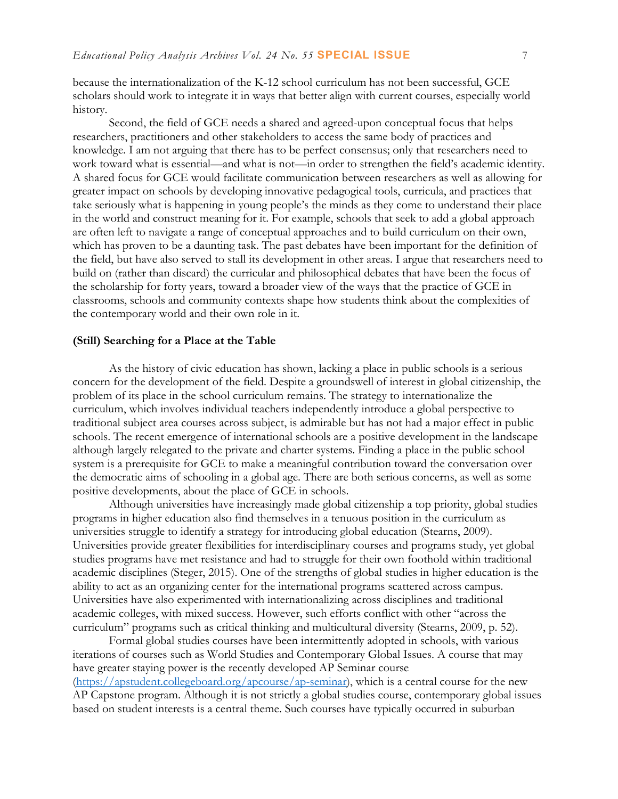because the internationalization of the K-12 school curriculum has not been successful, GCE scholars should work to integrate it in ways that better align with current courses, especially world history.

Second, the field of GCE needs a shared and agreed-upon conceptual focus that helps researchers, practitioners and other stakeholders to access the same body of practices and knowledge. I am not arguing that there has to be perfect consensus; only that researchers need to work toward what is essential—and what is not—in order to strengthen the field's academic identity. A shared focus for GCE would facilitate communication between researchers as well as allowing for greater impact on schools by developing innovative pedagogical tools, curricula, and practices that take seriously what is happening in young people's the minds as they come to understand their place in the world and construct meaning for it. For example, schools that seek to add a global approach are often left to navigate a range of conceptual approaches and to build curriculum on their own, which has proven to be a daunting task. The past debates have been important for the definition of the field, but have also served to stall its development in other areas. I argue that researchers need to build on (rather than discard) the curricular and philosophical debates that have been the focus of the scholarship for forty years, toward a broader view of the ways that the practice of GCE in classrooms, schools and community contexts shape how students think about the complexities of the contemporary world and their own role in it.

#### **(Still) Searching for a Place at the Table**

As the history of civic education has shown, lacking a place in public schools is a serious concern for the development of the field. Despite a groundswell of interest in global citizenship, the problem of its place in the school curriculum remains. The strategy to internationalize the curriculum, which involves individual teachers independently introduce a global perspective to traditional subject area courses across subject, is admirable but has not had a major effect in public schools. The recent emergence of international schools are a positive development in the landscape although largely relegated to the private and charter systems. Finding a place in the public school system is a prerequisite for GCE to make a meaningful contribution toward the conversation over the democratic aims of schooling in a global age. There are both serious concerns, as well as some positive developments, about the place of GCE in schools.

Although universities have increasingly made global citizenship a top priority, global studies programs in higher education also find themselves in a tenuous position in the curriculum as universities struggle to identify a strategy for introducing global education (Stearns, 2009). Universities provide greater flexibilities for interdisciplinary courses and programs study, yet global studies programs have met resistance and had to struggle for their own foothold within traditional academic disciplines (Steger, 2015). One of the strengths of global studies in higher education is the ability to act as an organizing center for the international programs scattered across campus. Universities have also experimented with internationalizing across disciplines and traditional academic colleges, with mixed success. However, such efforts conflict with other "across the curriculum" programs such as critical thinking and multicultural diversity (Stearns, 2009, p. 52).

Formal global studies courses have been intermittently adopted in schools, with various iterations of courses such as World Studies and Contemporary Global Issues. A course that may have greater staying power is the recently developed AP Seminar course [\(https://apstudent.collegeboard.org/apcourse/ap-seminar\)](https://apstudent.collegeboard.org/apcourse/ap-seminar), which is a central course for the new AP Capstone program. Although it is not strictly a global studies course, contemporary global issues based on student interests is a central theme. Such courses have typically occurred in suburban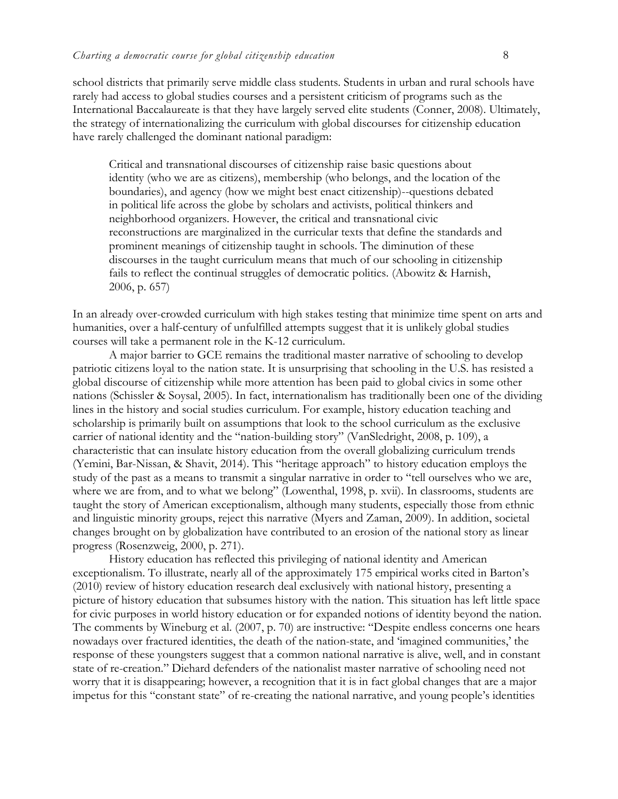school districts that primarily serve middle class students. Students in urban and rural schools have rarely had access to global studies courses and a persistent criticism of programs such as the International Baccalaureate is that they have largely served elite students (Conner, 2008). Ultimately, the strategy of internationalizing the curriculum with global discourses for citizenship education have rarely challenged the dominant national paradigm:

Critical and transnational discourses of citizenship raise basic questions about identity (who we are as citizens), membership (who belongs, and the location of the boundaries), and agency (how we might best enact citizenship)--questions debated in political life across the globe by scholars and activists, political thinkers and neighborhood organizers. However, the critical and transnational civic reconstructions are marginalized in the curricular texts that define the standards and prominent meanings of citizenship taught in schools. The diminution of these discourses in the taught curriculum means that much of our schooling in citizenship fails to reflect the continual struggles of democratic politics. (Abowitz & Harnish, 2006, p. 657)

In an already over-crowded curriculum with high stakes testing that minimize time spent on arts and humanities, over a half-century of unfulfilled attempts suggest that it is unlikely global studies courses will take a permanent role in the K-12 curriculum.

A major barrier to GCE remains the traditional master narrative of schooling to develop patriotic citizens loyal to the nation state. It is unsurprising that schooling in the U.S. has resisted a global discourse of citizenship while more attention has been paid to global civics in some other nations (Schissler & Soysal, 2005). In fact, internationalism has traditionally been one of the dividing lines in the history and social studies curriculum. For example, history education teaching and scholarship is primarily built on assumptions that look to the school curriculum as the exclusive carrier of national identity and the "nation-building story" (VanSledright, 2008, p. 109), a characteristic that can insulate history education from the overall globalizing curriculum trends (Yemini, Bar-Nissan, & Shavit, 2014). This "heritage approach" to history education employs the study of the past as a means to transmit a singular narrative in order to "tell ourselves who we are, where we are from, and to what we belong" (Lowenthal, 1998, p. xvii). In classrooms, students are taught the story of American exceptionalism, although many students, especially those from ethnic and linguistic minority groups, reject this narrative (Myers and Zaman, 2009). In addition, societal changes brought on by globalization have contributed to an erosion of the national story as linear progress (Rosenzweig, 2000, p. 271).

History education has reflected this privileging of national identity and American exceptionalism. To illustrate, nearly all of the approximately 175 empirical works cited in Barton's (2010) review of history education research deal exclusively with national history, presenting a picture of history education that subsumes history with the nation. This situation has left little space for civic purposes in world history education or for expanded notions of identity beyond the nation. The comments by Wineburg et al. (2007, p. 70) are instructive: "Despite endless concerns one hears nowadays over fractured identities, the death of the nation-state, and 'imagined communities,' the response of these youngsters suggest that a common national narrative is alive, well, and in constant state of re-creation." Diehard defenders of the nationalist master narrative of schooling need not worry that it is disappearing; however, a recognition that it is in fact global changes that are a major impetus for this "constant state" of re-creating the national narrative, and young people's identities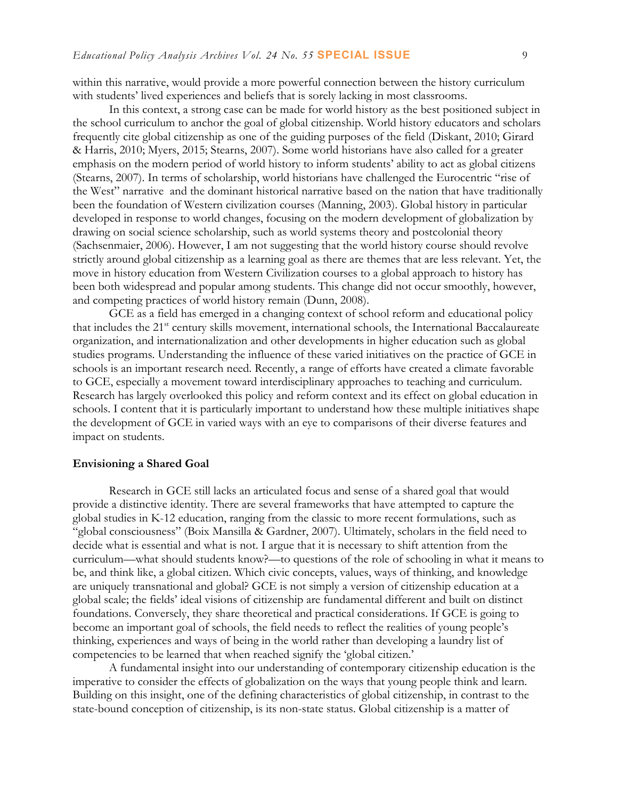within this narrative, would provide a more powerful connection between the history curriculum with students' lived experiences and beliefs that is sorely lacking in most classrooms.

In this context, a strong case can be made for world history as the best positioned subject in the school curriculum to anchor the goal of global citizenship. World history educators and scholars frequently cite global citizenship as one of the guiding purposes of the field (Diskant, 2010; Girard & Harris, 2010; Myers, 2015; Stearns, 2007). Some world historians have also called for a greater emphasis on the modern period of world history to inform students' ability to act as global citizens (Stearns, 2007). In terms of scholarship, world historians have challenged the Eurocentric "rise of the West" narrative and the dominant historical narrative based on the nation that have traditionally been the foundation of Western civilization courses (Manning, 2003). Global history in particular developed in response to world changes, focusing on the modern development of globalization by drawing on social science scholarship, such as world systems theory and postcolonial theory (Sachsenmaier, 2006). However, I am not suggesting that the world history course should revolve strictly around global citizenship as a learning goal as there are themes that are less relevant. Yet, the move in history education from Western Civilization courses to a global approach to history has been both widespread and popular among students. This change did not occur smoothly, however, and competing practices of world history remain (Dunn, 2008).

GCE as a field has emerged in a changing context of school reform and educational policy that includes the 21<sup>st</sup> century skills movement, international schools, the International Baccalaureate organization, and internationalization and other developments in higher education such as global studies programs. Understanding the influence of these varied initiatives on the practice of GCE in schools is an important research need. Recently, a range of efforts have created a climate favorable to GCE, especially a movement toward interdisciplinary approaches to teaching and curriculum. Research has largely overlooked this policy and reform context and its effect on global education in schools. I content that it is particularly important to understand how these multiple initiatives shape the development of GCE in varied ways with an eye to comparisons of their diverse features and impact on students.

#### **Envisioning a Shared Goal**

Research in GCE still lacks an articulated focus and sense of a shared goal that would provide a distinctive identity. There are several frameworks that have attempted to capture the global studies in K-12 education, ranging from the classic to more recent formulations, such as "global consciousness" (Boix Mansilla & Gardner, 2007). Ultimately, scholars in the field need to decide what is essential and what is not. I argue that it is necessary to shift attention from the curriculum—what should students know?—to questions of the role of schooling in what it means to be, and think like, a global citizen. Which civic concepts, values, ways of thinking, and knowledge are uniquely transnational and global? GCE is not simply a version of citizenship education at a global scale; the fields' ideal visions of citizenship are fundamental different and built on distinct foundations. Conversely, they share theoretical and practical considerations. If GCE is going to become an important goal of schools, the field needs to reflect the realities of young people's thinking, experiences and ways of being in the world rather than developing a laundry list of competencies to be learned that when reached signify the 'global citizen.'

A fundamental insight into our understanding of contemporary citizenship education is the imperative to consider the effects of globalization on the ways that young people think and learn. Building on this insight, one of the defining characteristics of global citizenship, in contrast to the state-bound conception of citizenship, is its non-state status. Global citizenship is a matter of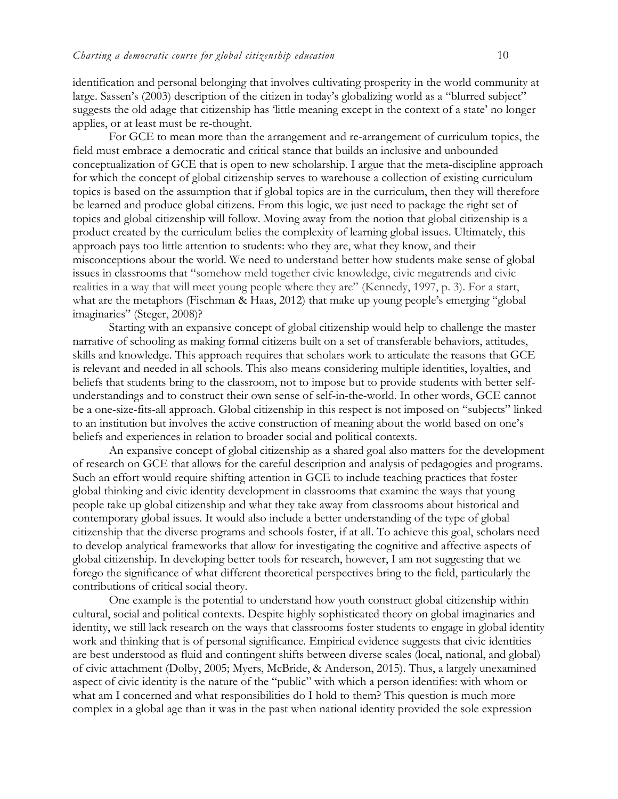identification and personal belonging that involves cultivating prosperity in the world community at large. Sassen's (2003) description of the citizen in today's globalizing world as a "blurred subject" suggests the old adage that citizenship has 'little meaning except in the context of a state' no longer applies, or at least must be re-thought.

For GCE to mean more than the arrangement and re-arrangement of curriculum topics, the field must embrace a democratic and critical stance that builds an inclusive and unbounded conceptualization of GCE that is open to new scholarship. I argue that the meta-discipline approach for which the concept of global citizenship serves to warehouse a collection of existing curriculum topics is based on the assumption that if global topics are in the curriculum, then they will therefore be learned and produce global citizens. From this logic, we just need to package the right set of topics and global citizenship will follow. Moving away from the notion that global citizenship is a product created by the curriculum belies the complexity of learning global issues. Ultimately, this approach pays too little attention to students: who they are, what they know, and their misconceptions about the world. We need to understand better how students make sense of global issues in classrooms that "somehow meld together civic knowledge, civic megatrends and civic realities in a way that will meet young people where they are" (Kennedy, 1997, p. 3). For a start, what are the metaphors (Fischman & Haas, 2012) that make up young people's emerging "global imaginaries" (Steger, 2008)?

Starting with an expansive concept of global citizenship would help to challenge the master narrative of schooling as making formal citizens built on a set of transferable behaviors, attitudes, skills and knowledge. This approach requires that scholars work to articulate the reasons that GCE is relevant and needed in all schools. This also means considering multiple identities, loyalties, and beliefs that students bring to the classroom, not to impose but to provide students with better selfunderstandings and to construct their own sense of self-in-the-world. In other words, GCE cannot be a one-size-fits-all approach. Global citizenship in this respect is not imposed on "subjects" linked to an institution but involves the active construction of meaning about the world based on one's beliefs and experiences in relation to broader social and political contexts.

An expansive concept of global citizenship as a shared goal also matters for the development of research on GCE that allows for the careful description and analysis of pedagogies and programs. Such an effort would require shifting attention in GCE to include teaching practices that foster global thinking and civic identity development in classrooms that examine the ways that young people take up global citizenship and what they take away from classrooms about historical and contemporary global issues. It would also include a better understanding of the type of global citizenship that the diverse programs and schools foster, if at all. To achieve this goal, scholars need to develop analytical frameworks that allow for investigating the cognitive and affective aspects of global citizenship. In developing better tools for research, however, I am not suggesting that we forego the significance of what different theoretical perspectives bring to the field, particularly the contributions of critical social theory.

One example is the potential to understand how youth construct global citizenship within cultural, social and political contexts. Despite highly sophisticated theory on global imaginaries and identity, we still lack research on the ways that classrooms foster students to engage in global identity work and thinking that is of personal significance. Empirical evidence suggests that civic identities are best understood as fluid and contingent shifts between diverse scales (local, national, and global) of civic attachment (Dolby, 2005; Myers, McBride, & Anderson, 2015). Thus, a largely unexamined aspect of civic identity is the nature of the "public" with which a person identifies: with whom or what am I concerned and what responsibilities do I hold to them? This question is much more complex in a global age than it was in the past when national identity provided the sole expression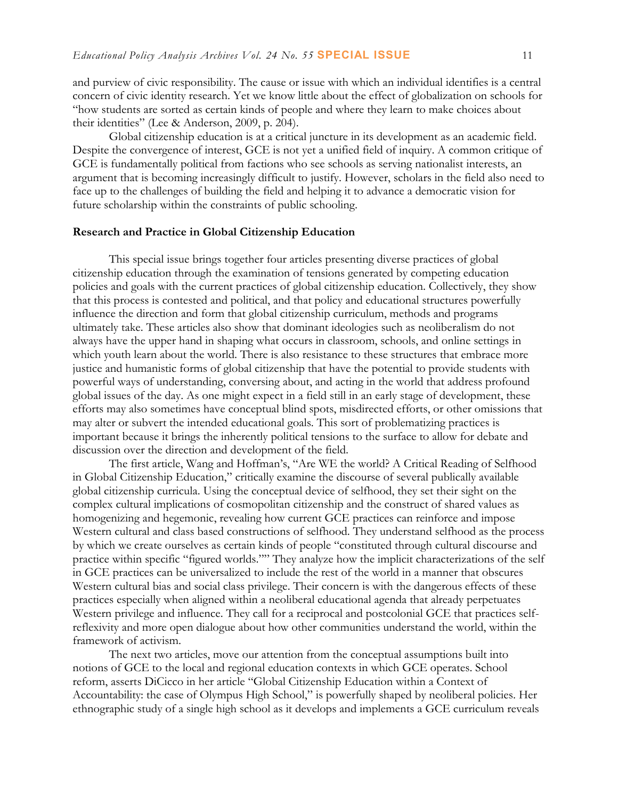and purview of civic responsibility. The cause or issue with which an individual identifies is a central concern of civic identity research. Yet we know little about the effect of globalization on schools for "how students are sorted as certain kinds of people and where they learn to make choices about their identities" (Lee & Anderson, 2009, p. 204).

Global citizenship education is at a critical juncture in its development as an academic field. Despite the convergence of interest, GCE is not yet a unified field of inquiry. A common critique of GCE is fundamentally political from factions who see schools as serving nationalist interests, an argument that is becoming increasingly difficult to justify. However, scholars in the field also need to face up to the challenges of building the field and helping it to advance a democratic vision for future scholarship within the constraints of public schooling.

#### **Research and Practice in Global Citizenship Education**

This special issue brings together four articles presenting diverse practices of global citizenship education through the examination of tensions generated by competing education policies and goals with the current practices of global citizenship education. Collectively, they show that this process is contested and political, and that policy and educational structures powerfully influence the direction and form that global citizenship curriculum, methods and programs ultimately take. These articles also show that dominant ideologies such as neoliberalism do not always have the upper hand in shaping what occurs in classroom, schools, and online settings in which youth learn about the world. There is also resistance to these structures that embrace more justice and humanistic forms of global citizenship that have the potential to provide students with powerful ways of understanding, conversing about, and acting in the world that address profound global issues of the day. As one might expect in a field still in an early stage of development, these efforts may also sometimes have conceptual blind spots, misdirected efforts, or other omissions that may alter or subvert the intended educational goals. This sort of problematizing practices is important because it brings the inherently political tensions to the surface to allow for debate and discussion over the direction and development of the field.

The first article, Wang and Hoffman's, "Are WE the world? A Critical Reading of Selfhood in Global Citizenship Education," critically examine the discourse of several publically available global citizenship curricula. Using the conceptual device of selfhood, they set their sight on the complex cultural implications of cosmopolitan citizenship and the construct of shared values as homogenizing and hegemonic, revealing how current GCE practices can reinforce and impose Western cultural and class based constructions of selfhood. They understand selfhood as the process by which we create ourselves as certain kinds of people "constituted through cultural discourse and practice within specific "figured worlds."" They analyze how the implicit characterizations of the self in GCE practices can be universalized to include the rest of the world in a manner that obscures Western cultural bias and social class privilege. Their concern is with the dangerous effects of these practices especially when aligned within a neoliberal educational agenda that already perpetuates Western privilege and influence. They call for a reciprocal and postcolonial GCE that practices selfreflexivity and more open dialogue about how other communities understand the world, within the framework of activism.

The next two articles, move our attention from the conceptual assumptions built into notions of GCE to the local and regional education contexts in which GCE operates. School reform, asserts DiCicco in her article "Global Citizenship Education within a Context of Accountability: the case of Olympus High School," is powerfully shaped by neoliberal policies. Her ethnographic study of a single high school as it develops and implements a GCE curriculum reveals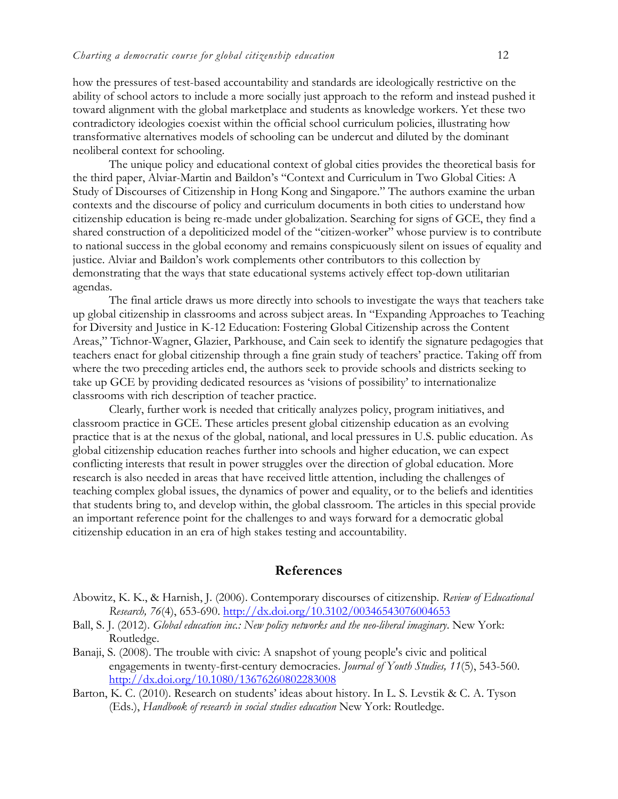how the pressures of test-based accountability and standards are ideologically restrictive on the ability of school actors to include a more socially just approach to the reform and instead pushed it toward alignment with the global marketplace and students as knowledge workers. Yet these two contradictory ideologies coexist within the official school curriculum policies, illustrating how transformative alternatives models of schooling can be undercut and diluted by the dominant neoliberal context for schooling.

The unique policy and educational context of global cities provides the theoretical basis for the third paper, Alviar-Martin and Baildon's "Context and Curriculum in Two Global Cities: A Study of Discourses of Citizenship in Hong Kong and Singapore." The authors examine the urban contexts and the discourse of policy and curriculum documents in both cities to understand how citizenship education is being re-made under globalization. Searching for signs of GCE, they find a shared construction of a depoliticized model of the "citizen-worker" whose purview is to contribute to national success in the global economy and remains conspicuously silent on issues of equality and justice. Alviar and Baildon's work complements other contributors to this collection by demonstrating that the ways that state educational systems actively effect top-down utilitarian agendas.

The final article draws us more directly into schools to investigate the ways that teachers take up global citizenship in classrooms and across subject areas. In "Expanding Approaches to Teaching for Diversity and Justice in K-12 Education: Fostering Global Citizenship across the Content Areas," Tichnor-Wagner, Glazier, Parkhouse, and Cain seek to identify the signature pedagogies that teachers enact for global citizenship through a fine grain study of teachers' practice. Taking off from where the two preceding articles end, the authors seek to provide schools and districts seeking to take up GCE by providing dedicated resources as 'visions of possibility' to internationalize classrooms with rich description of teacher practice.

Clearly, further work is needed that critically analyzes policy, program initiatives, and classroom practice in GCE. These articles present global citizenship education as an evolving practice that is at the nexus of the global, national, and local pressures in U.S. public education. As global citizenship education reaches further into schools and higher education, we can expect conflicting interests that result in power struggles over the direction of global education. More research is also needed in areas that have received little attention, including the challenges of teaching complex global issues, the dynamics of power and equality, or to the beliefs and identities that students bring to, and develop within, the global classroom. The articles in this special provide an important reference point for the challenges to and ways forward for a democratic global citizenship education in an era of high stakes testing and accountability.

#### **References**

- Abowitz, K. K., & Harnish, J. (2006). Contemporary discourses of citizenship. *Review of Educational Research, 76*(4), 653-690.<http://dx.doi.org/10.3102/00346543076004653>
- Ball, S. J. (2012). *Global education inc.: New policy networks and the neo-liberal imaginary*. New York: Routledge.
- Banaji, S. (2008). The trouble with civic: A snapshot of young people's civic and political engagements in twenty-first-century democracies. *Journal of Youth Studies, 11*(5), 543-560. <http://dx.doi.org/10.1080/13676260802283008>
- Barton, K. C. (2010). Research on students' ideas about history. In L. S. Levstik & C. A. Tyson (Eds.), *Handbook of research in social studies education* New York: Routledge.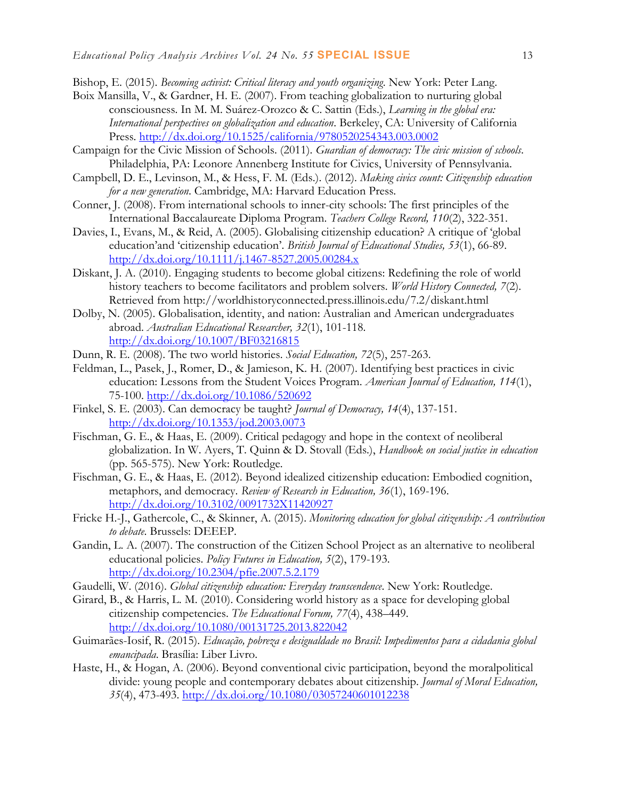- Bishop, E. (2015). *Becoming activist: Critical literacy and youth organizing*. New York: Peter Lang.
- Boix Mansilla, V., & Gardner, H. E. (2007). From teaching globalization to nurturing global consciousness. In M. M. Suárez-Orozco & C. Sattin (Eds.), *Learning in the global era: International perspectives on globalization and education*. Berkeley, CA: University of California Press. <http://dx.doi.org/10.1525/california/9780520254343.003.0002>
- Campaign for the Civic Mission of Schools. (2011). *Guardian of democracy: The civic mission of schools*. Philadelphia, PA: Leonore Annenberg Institute for Civics, University of Pennsylvania.
- Campbell, D. E., Levinson, M., & Hess, F. M. (Eds.). (2012). *Making civics count: Citizenship education for a new generation*. Cambridge, MA: Harvard Education Press.
- Conner, J. (2008). From international schools to inner-city schools: The first principles of the International Baccalaureate Diploma Program. *Teachers College Record, 110*(2), 322-351.
- Davies, I., Evans, M., & Reid, A. (2005). Globalising citizenship education? A critique of 'global education'and 'citizenship education'. *British Journal of Educational Studies, 53*(1), 66-89. <http://dx.doi.org/10.1111/j.1467-8527.2005.00284.x>
- Diskant, J. A. (2010). Engaging students to become global citizens: Redefining the role of world history teachers to become facilitators and problem solvers. *World History Connected, 7*(2). Retrieved from http://worldhistoryconnected.press.illinois.edu/7.2/diskant.html
- Dolby, N. (2005). Globalisation, identity, and nation: Australian and American undergraduates abroad. *Australian Educational Researcher, 32*(1), 101-118. <http://dx.doi.org/10.1007/BF03216815>
- Dunn, R. E. (2008). The two world histories. *Social Education, 72*(5), 257-263.
- Feldman, L., Pasek, J., Romer, D., & Jamieson, K. H. (2007). Identifying best practices in civic education: Lessons from the Student Voices Program. *American Journal of Education, 114*(1), 75-100.<http://dx.doi.org/10.1086/520692>
- Finkel, S. E. (2003). Can democracy be taught? *Journal of Democracy, 14*(4), 137-151. <http://dx.doi.org/10.1353/jod.2003.0073>
- Fischman, G. E., & Haas, E. (2009). Critical pedagogy and hope in the context of neoliberal globalization. In W. Ayers, T. Quinn & D. Stovall (Eds.), *Handbook on social justice in education* (pp. 565-575). New York: Routledge.
- Fischman, G. E., & Haas, E. (2012). Beyond idealized citizenship education: Embodied cognition, metaphors, and democracy. *Review of Research in Education, 36*(1), 169-196. <http://dx.doi.org/10.3102/0091732X11420927>
- Fricke H.-J., Gathercole, C., & Skinner, A. (2015). *Monitoring education for global citizenship: A contribution to debate*. Brussels: DEEEP.
- Gandin, L. A. (2007). The construction of the Citizen School Project as an alternative to neoliberal educational policies. *Policy Futures in Education, 5*(2), 179-193. <http://dx.doi.org/10.2304/pfie.2007.5.2.179>
- Gaudelli, W. (2016). *Global citizenship education: Everyday transcendence*. New York: Routledge.
- Girard, B., & Harris, L. M. (2010). Considering world history as a space for developing global citizenship competencies. *The Educational Forum, 77*(4), 438–449. <http://dx.doi.org/10.1080/00131725.2013.822042>
- Guimarães-Iosif, R. (2015). *Educação, pobreza e desigualdade no Brasil: Impedimentos para a cidadania global emancipada*. Brasília: Liber Livro.
- Haste, H., & Hogan, A. (2006). Beyond conventional civic participation, beyond the moralpolitical divide: young people and contemporary debates about citizenship. *Journal of Moral Education, 35*(4), 473-493.<http://dx.doi.org/10.1080/03057240601012238>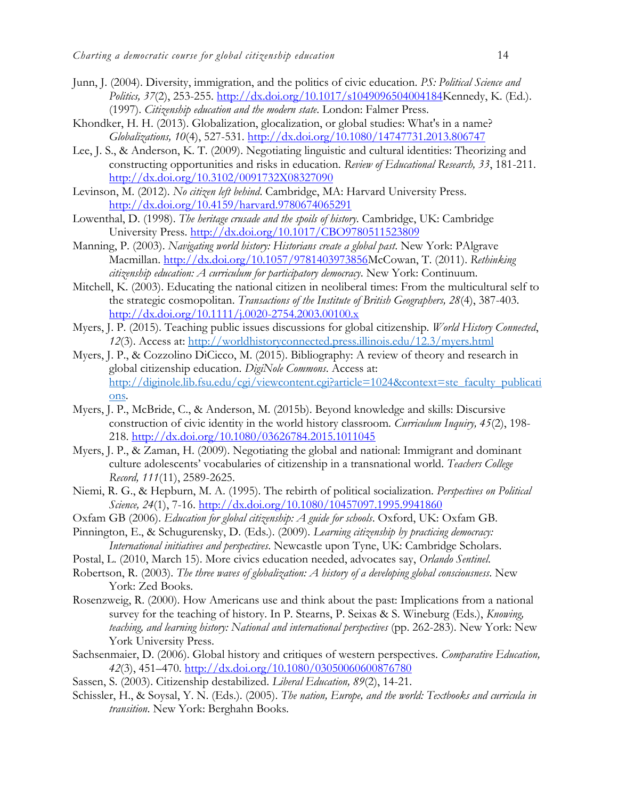- Junn, J. (2004). Diversity, immigration, and the politics of civic education. *PS: Political Science and Politics, 37*(2), 253-255. [http://dx.doi.org/10.1017/s1049096504004184K](http://dx.doi.org/10.1017/s1049096504004184)ennedy, K. (Ed.). (1997). *Citizenship education and the modern state*. London: Falmer Press.
- Khondker, H. H. (2013). Globalization, glocalization, or global studies: What's in a name? *Globalizations, 10*(4), 527-531.<http://dx.doi.org/10.1080/14747731.2013.806747>
- Lee, J. S., & Anderson, K. T. (2009). Negotiating linguistic and cultural identities: Theorizing and constructing opportunities and risks in education. *Review of Educational Research, 33*, 181-211. <http://dx.doi.org/10.3102/0091732X08327090>
- Levinson, M. (2012). *No citizen left behind*. Cambridge, MA: Harvard University Press. <http://dx.doi.org/10.4159/harvard.9780674065291>
- Lowenthal, D. (1998). *The heritage crusade and the spoils of history*. Cambridge, UK: Cambridge University Press. <http://dx.doi.org/10.1017/CBO9780511523809>
- Manning, P. (2003). *Navigating world history: Historians create a global past*. New York: PAlgrave Macmillan. [http://dx.doi.org/10.1057/9781403973856M](http://dx.doi.org/10.1057/9781403973856)cCowan, T. (2011). *Rethinking citizenship education: A curriculum for participatory democracy*. New York: Continuum.
- Mitchell, K. (2003). Educating the national citizen in neoliberal times: From the multicultural self to the strategic cosmopolitan. *Transactions of the Institute of British Geographers, 28*(4), 387-403. <http://dx.doi.org/10.1111/j.0020-2754.2003.00100.x>
- Myers, J. P. (2015). Teaching public issues discussions for global citizenship. *World History Connected*, *12*(3). Access at:<http://worldhistoryconnected.press.illinois.edu/12.3/myers.html>
- Myers, J. P., & Cozzolino DiCicco, M. (2015). Bibliography: A review of theory and research in global citizenship education. *DigiNole Commons*. Access at: [http://diginole.lib.fsu.edu/cgi/viewcontent.cgi?article=1024&context=ste\\_faculty\\_publicati](http://diginole.lib.fsu.edu/cgi/viewcontent.cgi?article=1024&context=ste_faculty_publications) [ons.](http://diginole.lib.fsu.edu/cgi/viewcontent.cgi?article=1024&context=ste_faculty_publications)
- Myers, J. P., McBride, C., & Anderson, M. (2015b). Beyond knowledge and skills: Discursive construction of civic identity in the world history classroom. *Curriculum Inquiry, 45*(2), 198- 218.<http://dx.doi.org/10.1080/03626784.2015.1011045>
- Myers, J. P., & Zaman, H. (2009). Negotiating the global and national: Immigrant and dominant culture adolescents' vocabularies of citizenship in a transnational world. *Teachers College Record, 111*(11), 2589-2625.
- Niemi, R. G., & Hepburn, M. A. (1995). The rebirth of political socialization. *Perspectives on Political Science, 24*(1), 7-16.<http://dx.doi.org/10.1080/10457097.1995.9941860>
- Oxfam GB (2006). *Education for global citizenship: A guide for schools*. Oxford, UK: Oxfam GB.
- Pinnington, E., & Schugurensky, D. (Eds.). (2009). *Learning citizenship by practicing democracy: International initiatives and perspectives*. Newcastle upon Tyne, UK: Cambridge Scholars.
- Postal, L. (2010, March 15). More civics education needed, advocates say, *Orlando Sentinel*.
- Robertson, R. (2003). *The three waves of globalization: A history of a developing global consciousness*. New York: Zed Books.
- Rosenzweig, R. (2000). How Americans use and think about the past: Implications from a national survey for the teaching of history. In P. Stearns, P. Seixas & S. Wineburg (Eds.), *Knowing, teaching, and learning history: National and international perspectives* (pp. 262-283). New York: New York University Press.
- Sachsenmaier, D. (2006). Global history and critiques of western perspectives. *Comparative Education, 42*(3), 451–470.<http://dx.doi.org/10.1080/03050060600876780>
- Sassen, S. (2003). Citizenship destabilized. *Liberal Education, 89*(2), 14-21.
- Schissler, H., & Soysal, Y. N. (Eds.). (2005). *The nation, Europe, and the world: Textbooks and curricula in transition*. New York: Berghahn Books.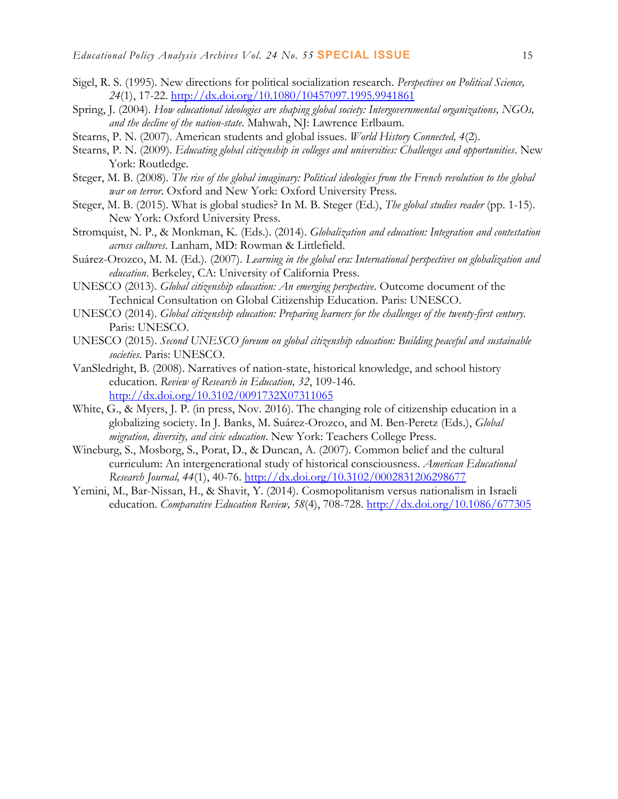- Sigel, R. S. (1995). New directions for political socialization research. *Perspectives on Political Science, 24*(1), 17-22.<http://dx.doi.org/10.1080/10457097.1995.9941861>
- Spring, J. (2004). *How educational ideologies are shaping global society: Intergovernmental organizations, NGOs, and the decline of the nation-state*. Mahwah, NJ: Lawrence Erlbaum.
- <span id="page-14-0"></span>Stearns, P. N. (2007). American students and global issues. *World History Connected, 4*(2).
- Stearns, P. N. (2009). *Educating global citizenship in colleges and universities: Challenges and opportunities*. New York: Routledge.
- Steger, M. B. (2008). *The rise of the global imaginary: Political ideologies from the French revolution to the global war on terror*. Oxford and New York: Oxford University Press.
- Steger, M. B. (2015). What is global studies? In M. B. Steger (Ed.), *The global studies reader* (pp. 1-15). New York: Oxford University Press.
- Stromquist, N. P., & Monkman, K. (Eds.). (2014). *Globalization and education: Integration and contestation across cultures*. Lanham, MD: Rowman & Littlefield.
- Suárez-Orozco, M. M. (Ed.). (2007). *Learning in the global era: International perspectives on globalization and education*. Berkeley, CA: University of California Press.
- UNESCO (2013). *Global citizenship education: An emerging perspective*. Outcome document of the Technical Consultation on Global Citizenship Education. Paris: UNESCO.
- UNESCO (2014). *Global citizenship education: Preparing learners for the challenges of the twenty-first century*. Paris: UNESCO.
- UNESCO (2015). *Second UNESCO foreum on global citizenship education: Building peaceful and sustainable societies*. Paris: UNESCO.
- VanSledright, B. (2008). Narratives of nation-state, historical knowledge, and school history education. *Review of Research in Education, 32*, 109-146. <http://dx.doi.org/10.3102/0091732X07311065>
- White, G., & Myers, J. P. (in press, Nov. 2016). The changing role of citizenship education in a globalizing society. In J. Banks, M. Suárez-Orozco, and M. Ben-Peretz (Eds.), *Global migration, diversity, and civic education*. New York: Teachers College Press.
- Wineburg, S., Mosborg, S., Porat, D., & Duncan, A. (2007). Common belief and the cultural curriculum: An intergenerational study of historical consciousness. *American Educational Research Journal, 44*(1), 40-76.<http://dx.doi.org/10.3102/0002831206298677>
- Yemini, M., Bar-Nissan, H., & Shavit, Y. (2014). Cosmopolitanism versus nationalism in Israeli education. *Comparative Education Review, 58*(4), 708-728.<http://dx.doi.org/10.1086/677305>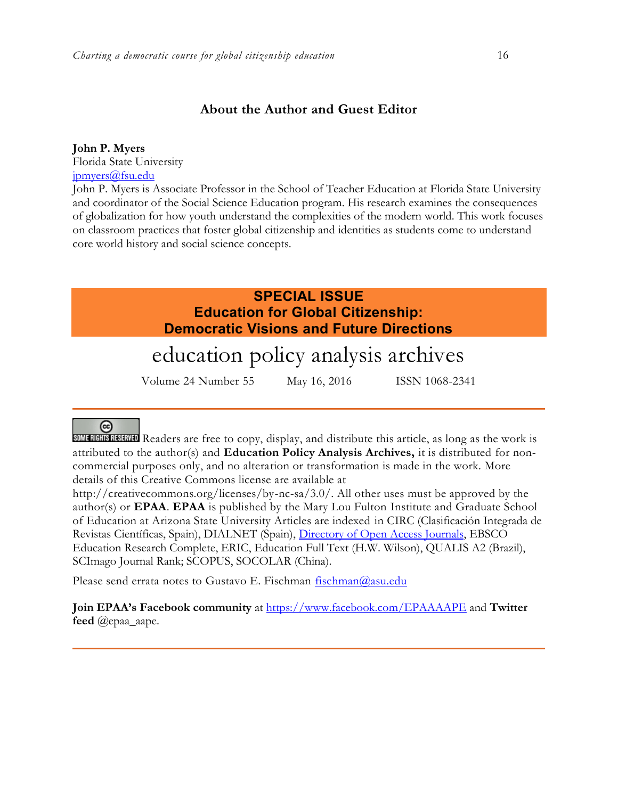## **About the Author and Guest Editor**

### **John P. Myers**

Florida State University [jpmyers@fsu.edu](mailto:jpmyers@fsu.edu)

John P. Myers is Associate Professor in the School of Teacher Education at Florida State University and coordinator of the Social Science Education program. His research examines the consequences of globalization for how youth understand the complexities of the modern world. This work focuses on classroom practices that foster global citizenship and identities as students come to understand core world history and social science concepts.

# **SPECIAL ISSUE Education for Global Citizenship: Democratic Visions and Future Directions**

# education policy analysis archives

Volume 24 Number 55 May 16, 2016 ISSN 1068-2341

# (တ

SOME RIGHTS RESERVED Readers are free to copy, display, and distribute this article, as long as the work is attributed to the author(s) and **Education Policy Analysis Archives,** it is distributed for noncommercial purposes only, and no alteration or transformation is made in the work. More details of this Creative Commons license are available at

http://creativecommons.org/licenses/by-nc-sa/3.0/. All other uses must be approved by the author(s) or **EPAA**. **EPAA** is published by the Mary Lou Fulton Institute and Graduate School of Education at Arizona State University Articles are indexed in CIRC (Clasificación Integrada de Revistas Científicas, Spain), DIALNET (Spain), [Directory of Open Access Journals,](http://www.doaj.org/) EBSCO Education Research Complete, ERIC, Education Full Text (H.W. Wilson), QUALIS A2 (Brazil), SCImago Journal Rank; SCOPUS, SOCOLAR (China).

Please send errata notes to Gustavo E. Fischman [fischman@asu.edu](mailto:fischman@asu.edu)

**Join EPAA's Facebook community** at<https://www.facebook.com/EPAAAAPE> and **Twitter feed** @epaa\_aape.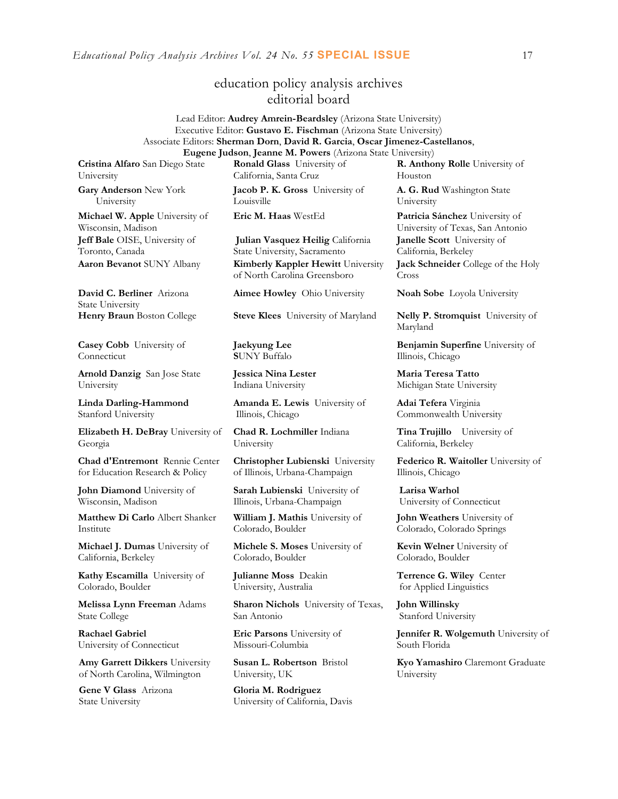*Educational Policy Analysis Archives Vol. 24 No. 55* **SPECIAL ISSUE** 17

# education policy analysis archives editorial board

#### Lead Editor: **Audrey Amrein-Beardsley** (Arizona State University) Executive Editor: **Gustavo E. Fischman** (Arizona State University) Associate Editors: **Sherman Dorn**, **David R. Garcia**, **Oscar Jimenez-Castellanos**, **Eugene Judson**, **Jeanne M. Powers** (Arizona State University)

**Cristina Alfaro** San Diego State University

**Gary Anderson** New York University

**Michael W. Apple** University of Wisconsin, Madison **Jeff Bale** OISE, University of Toronto, Canada

**David C. Berliner** Arizona State University

**Casey Cobb** University of Connecticut

**Arnold Danzig** San Jose State University

**Linda Darling-Hammond**  Stanford University

**Elizabeth H. DeBray** University of Georgia

**Chad d'Entremont** Rennie Center for Education Research & Policy

**John Diamond** University of Wisconsin, Madison

**Matthew Di Carlo** Albert Shanker Institute

**Michael J. Dumas** University of California, Berkeley

**Kathy Escamilla** University of Colorado, Boulder

**Melissa Lynn Freeman** Adams State College

**Rachael Gabriel** University of Connecticut

**Amy Garrett Dikkers** University of North Carolina, Wilmington

**Gene V Glass** Arizona State University

**Ronald Glass** University of California, Santa Cruz

**Jacob P. K. Gross** University of Louisville

**Julian Vasquez Heilig** California State University, Sacramento **Aaron Bevanot** SUNY Albany **Kimberly Kappler Hewitt** University of North Carolina Greensboro

**Aimee Howley** Ohio University **Noah Sobe** Loyola University

**Henry Braun** Boston College **Steve Klees** University of Maryland **Nelly P. Stromquist** University of

**Jaekyung Lee S**UNY Buffalo

**Jessica Nina Lester** Indiana University

**Amanda E. Lewis** University of Illinois, Chicago

**Chad R. Lochmiller** Indiana University

**Christopher Lubienski** University of Illinois, Urbana-Champaign

**Sarah Lubienski** University of Illinois, Urbana-Champaign

**William J. Mathis** University of Colorado, Boulder

**Michele S. Moses** University of Colorado, Boulder

**Julianne Moss** Deakin University, Australia

**Sharon Nichols** University of Texas, San Antonio

**Eric Parsons** University of Missouri-Columbia

**Susan L. Robertson** Bristol University, UK

**Gloria M. Rodriguez** University of California, Davis **R. Anthony Rolle** University of Houston

**A. G. Rud** Washington State University

**Eric M. Haas** WestEd **Patricia Sánchez** University of University of Texas, San Antonio **Janelle Scott** University of California, Berkeley **Jack Schneider** College of the Holy

Cross

Maryland

**Benjamin Superfine** University of Illinois, Chicago

**Maria Teresa Tatto**  Michigan State University

**Adai Tefera** Virginia Commonwealth University

**Tina Trujillo** University of California, Berkeley

**Federico R. Waitoller** University of Illinois, Chicago

**Larisa Warhol** University of Connecticut

**John Weathers** University of Colorado, Colorado Springs

**Kevin Welner** University of Colorado, Boulder

**Terrence G. Wiley** Center for Applied Linguistics

**John Willinsky**  Stanford University

**Jennifer R. Wolgemuth** University of South Florida

**Kyo Yamashiro** Claremont Graduate University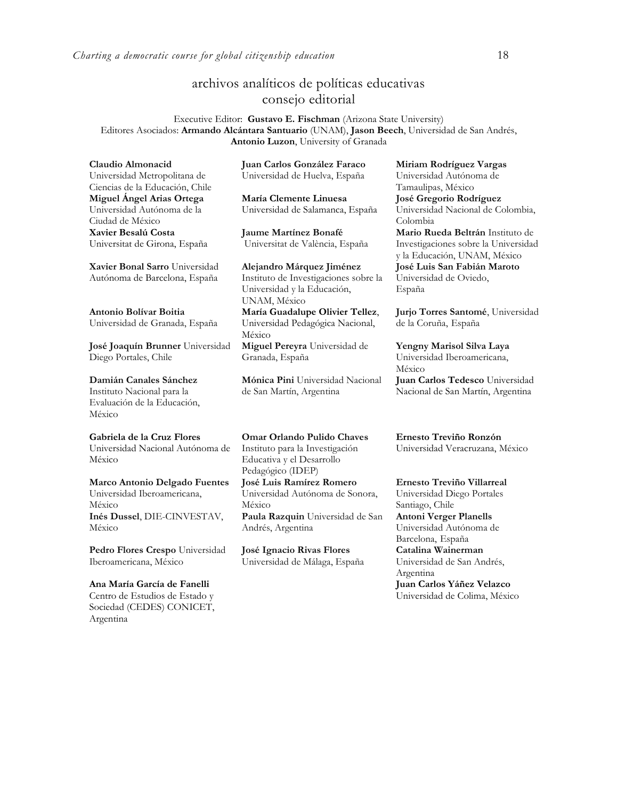# archivos analíticos de políticas educativas consejo editorial

Executive Editor: **Gustavo E. Fischman** (Arizona State University) Editores Asociados: **Armando Alcántara Santuario** (UNAM), **Jason Beech**, Universidad de San Andrés, **Antonio Luzon**, University of Granada

**Claudio Almonacid** Universidad Metropolitana de Ciencias de la Educación, Chile **Miguel Ángel Arias Ortega**  Universidad Autónoma de la Ciudad de México **Xavier Besalú Costa**  Universitat de Girona, España

**[Xavier Bonal](javascript:openRTWindow() Sarro** Universidad Autónoma de Barcelona, España

**[Antonio Bolívar](javascript:openRTWindow() Boitia** Universidad de Granada, España

**[José Joaquín Brunner](javascript:openRTWindow()** Universidad Diego Portales, Chile

**[Damián Canales Sánchez](javascript:openRTWindow()** Instituto Nacional para la Evaluación de la Educación, México

**Gabriela de la Cruz Flores** Universidad Nacional Autónoma de México

**[Marco Antonio Delgado Fuentes](javascript:openRTWindow()** Universidad Iberoamericana, México **[Inés Dussel](javascript:openRTWindow()**, DIE-CINVESTAV, México

**[Pedro Flores Crespo](javascript:openRTWindow()** Universidad Iberoamericana, México

**Ana María García de Fanelli**  Centro de Estudios de Estado y Sociedad (CEDES) CONICET, Argentina

**Juan Carlos González Faraco**  Universidad de Huelva, España

**María Clemente Linuesa**  Universidad de Salamanca, España

**Jaume Martínez Bonafé** Universitat de València, España

**Alejandro Márquez Jiménez**  Instituto de Investigaciones sobre la Universidad y la Educación, UNAM, México **María Guadalupe Olivier Tellez**, Universidad Pedagógica Nacional, México

**[Miguel Pereyra](javascript:openRTWindow()** Universidad de Granada, España

**[Mónica Pini](javascript:openRTWindow()** Universidad Nacional de San Martín, Argentina

**Omar Orlando Pulido Chaves** Instituto para la Investigación Educativa y el Desarrollo Pedagógico (IDEP)

**[José Luis Ramírez](javascript:openRTWindow() Romero** Universidad Autónoma de Sonora, México **[Paula Razquin](javascript:openRTWindow()** Universidad de San Andrés, Argentina

**José Ignacio Rivas Flores** Universidad de Málaga, España **[Miriam Rodríguez Vargas](javascript:openRTWindow()** Universidad Autónoma de Tamaulipas, México **José Gregorio Rodríguez**  Universidad Nacional de Colombia, Colombia **[Mario Rueda Beltrán](javascript:openRTWindow()** Instituto de Investigaciones sobre la Universidad y la Educación, UNAM, México **José Luis San Fabián Maroto**  Universidad de Oviedo, España

**[Jurjo Torres Santomé](javascript:openRTWindow()**, Universidad de la Coruña, España

**[Yengny Marisol Silva Laya](javascript:openRTWindow()** Universidad Iberoamericana, México **Juan Carlos Tedesco** Universidad Nacional de San Martín, Argentina

**Ernesto Treviño Ronzón** Universidad Veracruzana, México

**[Ernesto Treviño](javascript:openRTWindow() Villarreal** Universidad Diego Portales Santiago, Chile **[Antoni Verger Planells](javascript:openRTWindow()** Universidad Autónoma de Barcelona, España **[Catalina Wainerman](javascript:openRTWindow()** Universidad de San Andrés, Argentina **Juan Carlos Yáñez Velazco** Universidad de Colima, México